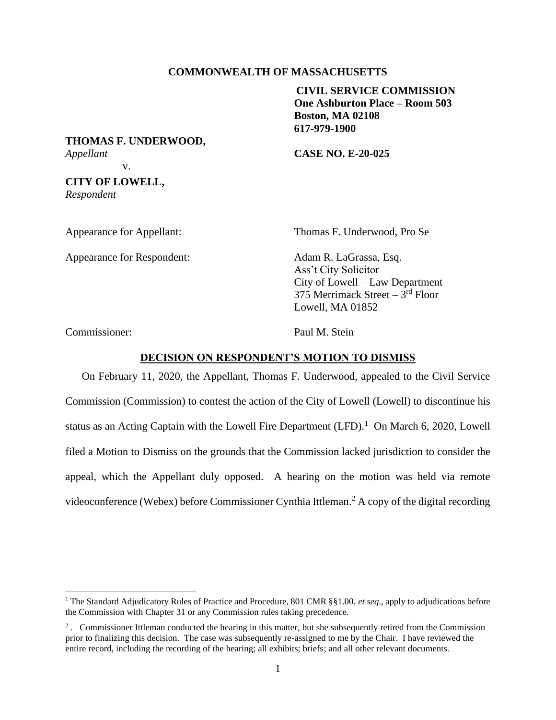# **COMMONWEALTH OF MASSACHUSETTS**

**CIVIL SERVICE COMMISSION One Ashburton Place – Room 503 Boston, MA 02108 617-979-1900**

**THOMAS F. UNDERWOOD,** *Appellant* **CASE NO. E-20-025**

v.

**CITY OF LOWELL,** *Respondent*

Appearance for Appellant:

Appearance for Respondent: Adam R. LaGrassa, Esq.

Thomas F. Underwood, Pro Se

Ass't City Solicitor City of Lowell – Law Department 375 Merrimack Street – 3<sup>rd</sup> Floor Lowell, MA 01852

Commissioner: Paul M. Stein

## **DECISION ON RESPONDENT'S MOTION TO DISMISS**

On February 11, 2020, the Appellant, Thomas F. Underwood, appealed to the Civil Service Commission (Commission) to contest the action of the City of Lowell (Lowell) to discontinue his status as an Acting Captain with the Lowell Fire Department (LFD).<sup>1</sup> On March 6, 2020, Lowell filed a Motion to Dismiss on the grounds that the Commission lacked jurisdiction to consider the appeal, which the Appellant duly opposed. A hearing on the motion was held via remote videoconference (Webex) before Commissioner Cynthia Ittleman. <sup>2</sup> A copy of the digital recording

<sup>1</sup> The Standard Adjudicatory Rules of Practice and Procedure, 801 CMR §§1.00, *et seq*., apply to adjudications before the Commission with Chapter 31 or any Commission rules taking precedence.

<sup>&</sup>lt;sup>2</sup>. Commissioner Ittleman conducted the hearing in this matter, but she subsequently retired from the Commission prior to finalizing this decision. The case was subsequently re-assigned to me by the Chair. I have reviewed the entire record, including the recording of the hearing; all exhibits; briefs; and all other relevant documents.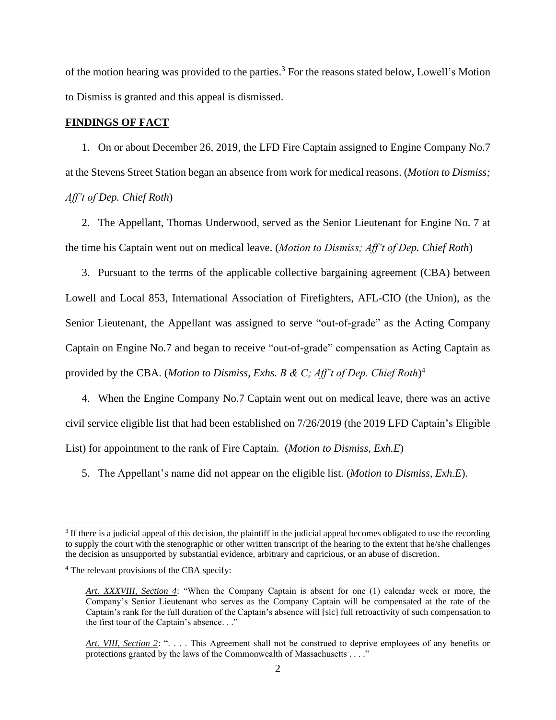of the motion hearing was provided to the parties.<sup>3</sup> For the reasons stated below, Lowell's Motion to Dismiss is granted and this appeal is dismissed.

# **FINDINGS OF FACT**

1. On or about December 26, 2019, the LFD Fire Captain assigned to Engine Company No.7 at the Stevens Street Station began an absence from work for medical reasons. (*Motion to Dismiss; Aff't of Dep. Chief Roth*)

2. The Appellant, Thomas Underwood, served as the Senior Lieutenant for Engine No. 7 at the time his Captain went out on medical leave. (*Motion to Dismiss; Aff't of Dep. Chief Roth*)

3. Pursuant to the terms of the applicable collective bargaining agreement (CBA) between Lowell and Local 853, International Association of Firefighters, AFL-CIO (the Union), as the Senior Lieutenant, the Appellant was assigned to serve "out-of-grade" as the Acting Company Captain on Engine No.7 and began to receive "out-of-grade" compensation as Acting Captain as provided by the CBA. (*Motion to Dismiss, Exhs. B & C; Aff't of Dep. Chief Roth*) 4

4. When the Engine Company No.7 Captain went out on medical leave, there was an active civil service eligible list that had been established on 7/26/2019 (the 2019 LFD Captain's Eligible List) for appointment to the rank of Fire Captain. (*Motion to Dismiss, Exh.E*)

5. The Appellant's name did not appear on the eligible list. (*Motion to Dismiss, Exh.E*).

 $3$  If there is a judicial appeal of this decision, the plaintiff in the judicial appeal becomes obligated to use the recording to supply the court with the stenographic or other written transcript of the hearing to the extent that he/she challenges the decision as unsupported by substantial evidence, arbitrary and capricious, or an abuse of discretion.

<sup>4</sup> The relevant provisions of the CBA specify:

*Art. XXXVIII, Section 4*: "When the Company Captain is absent for one (1) calendar week or more, the Company's Senior Lieutenant who serves as the Company Captain will be compensated at the rate of the Captain's rank for the full duration of the Captain's absence will [sic] full retroactivity of such compensation to the first tour of the Captain's absence. . ."

*Art. VIII, Section 2*: ". . . . This Agreement shall not be construed to deprive employees of any benefits or protections granted by the laws of the Commonwealth of Massachusetts . . . ."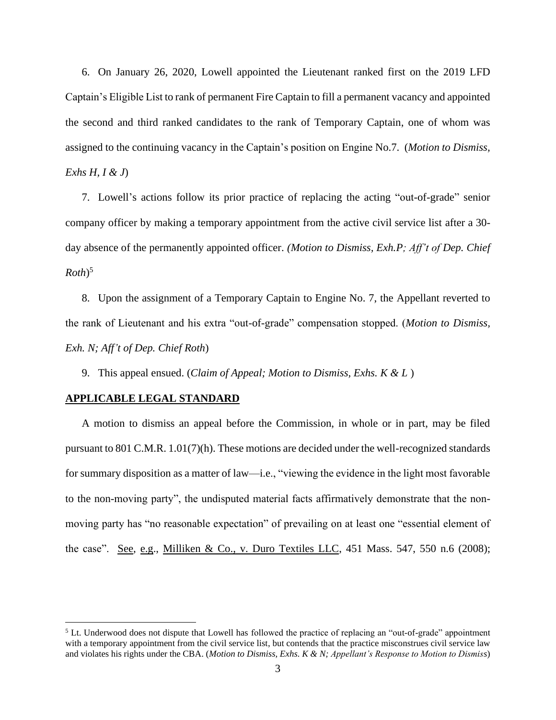6. On January 26, 2020, Lowell appointed the Lieutenant ranked first on the 2019 LFD Captain's Eligible List to rank of permanent Fire Captain to fill a permanent vacancy and appointed the second and third ranked candidates to the rank of Temporary Captain, one of whom was assigned to the continuing vacancy in the Captain's position on Engine No.7. (*Motion to Dismiss, Exhs H, I & J*)

7. Lowell's actions follow its prior practice of replacing the acting "out-of-grade" senior company officer by making a temporary appointment from the active civil service list after a 30 day absence of the permanently appointed officer. *(Motion to Dismiss, Exh.P; Aff't of Dep. Chief Roth*) 5

8. Upon the assignment of a Temporary Captain to Engine No. 7, the Appellant reverted to the rank of Lieutenant and his extra "out-of-grade" compensation stopped. (*Motion to Dismiss, Exh. N; Aff't of Dep. Chief Roth*)

9. This appeal ensued. (*Claim of Appeal; Motion to Dismiss, Exhs. K & L* )

#### **APPLICABLE LEGAL STANDARD**

A motion to dismiss an appeal before the Commission, in whole or in part, may be filed pursuant to 801 C.M.R. 1.01(7)(h). These motions are decided under the well-recognized standards for summary disposition as a matter of law—i.e., "viewing the evidence in the light most favorable to the non-moving party", the undisputed material facts affirmatively demonstrate that the nonmoving party has "no reasonable expectation" of prevailing on at least one "essential element of the case". See, e.g., Milliken & Co., v. Duro Textiles LLC, 451 Mass. 547, 550 n.6 (2008);

<sup>&</sup>lt;sup>5</sup> Lt. Underwood does not dispute that Lowell has followed the practice of replacing an "out-of-grade" appointment with a temporary appointment from the civil service list, but contends that the practice misconstrues civil service law and violates his rights under the CBA. (*Motion to Dismiss, Exhs. K & N; Appellant's Response to Motion to Dismiss*)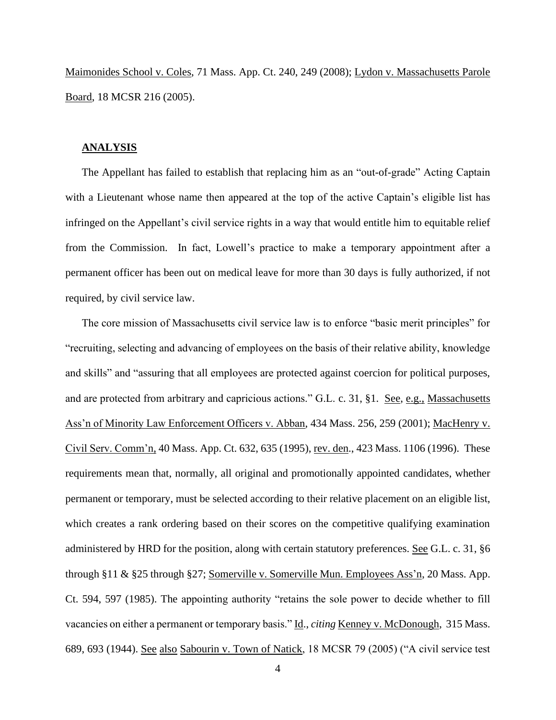Maimonides School v. Coles, 71 Mass. App. Ct. 240, 249 (2008); Lydon v. Massachusetts Parole Board, 18 MCSR 216 (2005).

## **ANALYSIS**

The Appellant has failed to establish that replacing him as an "out-of-grade" Acting Captain with a Lieutenant whose name then appeared at the top of the active Captain's eligible list has infringed on the Appellant's civil service rights in a way that would entitle him to equitable relief from the Commission. In fact, Lowell's practice to make a temporary appointment after a permanent officer has been out on medical leave for more than 30 days is fully authorized, if not required, by civil service law.

The core mission of Massachusetts civil service law is to enforce "basic merit principles" for "recruiting, selecting and advancing of employees on the basis of their relative ability, knowledge and skills" and "assuring that all employees are protected against coercion for political purposes, and are protected from arbitrary and capricious actions." G.L. c. 31, §1. See, e.g., Massachusetts Ass'n of Minority Law Enforcement Officers v. Abban, 434 Mass. 256, 259 (2001); MacHenry v. Civil Serv. Comm'n, 40 Mass. App. Ct. 632, 635 (1995), rev. den., 423 Mass. 1106 (1996). These requirements mean that, normally, all original and promotionally appointed candidates, whether permanent or temporary, must be selected according to their relative placement on an eligible list, which creates a rank ordering based on their scores on the competitive qualifying examination administered by HRD for the position, along with certain statutory preferences. See G.L. c. 31, §6 through §11 & §25 through §27; Somerville v. Somerville Mun. Employees Ass'n, 20 Mass. App. Ct. 594, 597 (1985). The appointing authority "retains the sole power to decide whether to fill vacancies on either a permanent or temporary basis." Id., *citing* Kenney v. McDonough, 315 Mass. 689, 693 (1944). See also Sabourin v. Town of Natick, 18 MCSR 79 (2005) ("A civil service test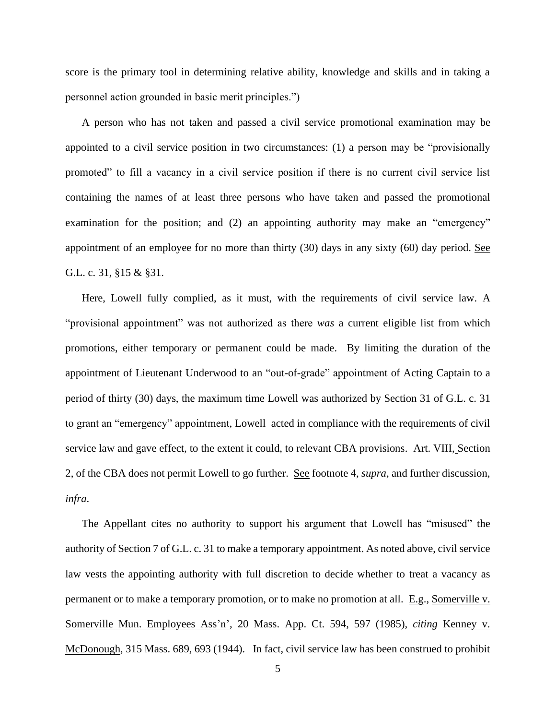score is the primary tool in determining relative ability, knowledge and skills and in taking a personnel action grounded in basic merit principles.")

A person who has not taken and passed a civil service promotional examination may be appointed to a civil service position in two circumstances: (1) a person may be "provisionally promoted" to fill a vacancy in a civil service position if there is no current civil service list containing the names of at least three persons who have taken and passed the promotional examination for the position; and (2) an appointing authority may make an "emergency" appointment of an employee for no more than thirty  $(30)$  days in any sixty  $(60)$  day period. See G.L. c. 31, §15 & §31.

Here, Lowell fully complied, as it must, with the requirements of civil service law. A "provisional appointment" was not authorized as there *was* a current eligible list from which promotions, either temporary or permanent could be made. By limiting the duration of the appointment of Lieutenant Underwood to an "out-of-grade" appointment of Acting Captain to a period of thirty (30) days, the maximum time Lowell was authorized by Section 31 of G.L. c. 31 to grant an "emergency" appointment, Lowell acted in compliance with the requirements of civil service law and gave effect, to the extent it could, to relevant CBA provisions. Art. VIII, Section 2, of the CBA does not permit Lowell to go further. See footnote 4, *supra*, and further discussion, *infra*.

The Appellant cites no authority to support his argument that Lowell has "misused" the authority of Section 7 of G.L. c. 31 to make a temporary appointment. As noted above, civil service law vests the appointing authority with full discretion to decide whether to treat a vacancy as permanent or to make a temporary promotion, or to make no promotion at all. E.g., Somerville v. Somerville Mun. Employees Ass'n', 20 Mass. App. Ct. 594, 597 (1985), *citing* Kenney v. McDonough, 315 Mass. 689, 693 (1944). In fact, civil service law has been construed to prohibit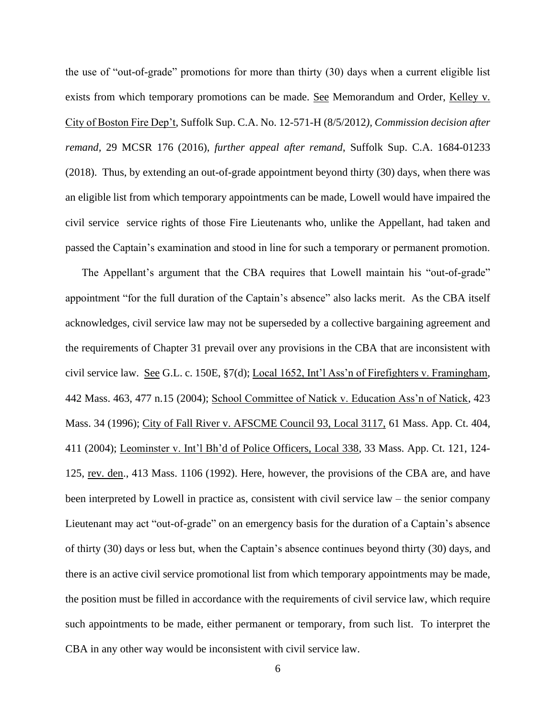the use of "out-of-grade" promotions for more than thirty (30) days when a current eligible list exists from which temporary promotions can be made. See Memorandum and Order, Kelley v. City of Boston Fire Dep't, Suffolk Sup. C.A. No. 12-571-H (8/5/2012*), Commission decision after remand,* 29 MCSR 176 (2016), *further appeal after remand*, Suffolk Sup. C.A. 1684-01233 (2018). Thus, by extending an out-of-grade appointment beyond thirty (30) days, when there was an eligible list from which temporary appointments can be made, Lowell would have impaired the civil service service rights of those Fire Lieutenants who, unlike the Appellant, had taken and passed the Captain's examination and stood in line for such a temporary or permanent promotion.

The Appellant's argument that the CBA requires that Lowell maintain his "out-of-grade" appointment "for the full duration of the Captain's absence" also lacks merit. As the CBA itself acknowledges, civil service law may not be superseded by a collective bargaining agreement and the requirements of Chapter 31 prevail over any provisions in the CBA that are inconsistent with civil service law. See G.L. c. 150E, §7(d); Local 1652, Int'l Ass'n of Firefighters v. Framingham, 442 Mass. 463, 477 n.15 (2004); School Committee of Natick v. Education Ass'n of Natick, 423 Mass. 34 (1996); City of Fall River v. AFSCME Council 93, Local 3117, 61 Mass. App. Ct. 404, 411 (2004); Leominster v. Int'l Bh'd of Police Officers, Local 338, 33 Mass. App. Ct. 121, 124- 125, rev. den., 413 Mass. 1106 (1992). Here, however, the provisions of the CBA are, and have been interpreted by Lowell in practice as, consistent with civil service law – the senior company Lieutenant may act "out-of-grade" on an emergency basis for the duration of a Captain's absence of thirty (30) days or less but, when the Captain's absence continues beyond thirty (30) days, and there is an active civil service promotional list from which temporary appointments may be made, the position must be filled in accordance with the requirements of civil service law, which require such appointments to be made, either permanent or temporary, from such list. To interpret the CBA in any other way would be inconsistent with civil service law.